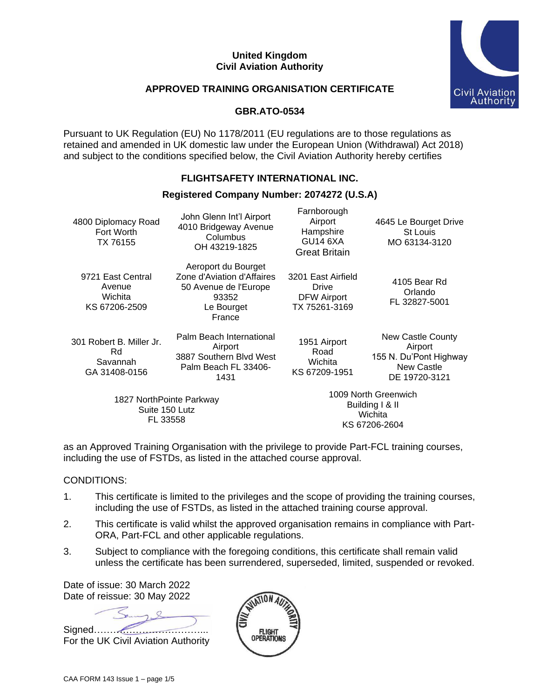#### **United Kingdom Civil Aviation Authority**



#### **APPROVED TRAINING ORGANISATION CERTIFICATE**

#### **GBR.ATO-0534**

Pursuant to UK Regulation (EU) No 1178/2011 (EU regulations are to those regulations as retained and amended in UK domestic law under the European Union (Withdrawal) Act 2018) and subject to the conditions specified below, the Civil Aviation Authority hereby certifies

# **FLIGHTSAFETY INTERNATIONAL INC.**

#### **Registered Company Number: 2074272 (U.S.A)**

| 4800 Diplomacy Road<br>Fort Worth<br>TX 76155               | John Glenn Int'l Airport<br>4010 Bridgeway Avenue<br>Columbus<br>OH 43219-1825                              | Farnborough<br>Airport<br>Hampshire<br>GU14 6XA<br><b>Great Britain</b> | 4645 Le Bourget Drive<br>St Louis<br>MO 63134-3120                                           |
|-------------------------------------------------------------|-------------------------------------------------------------------------------------------------------------|-------------------------------------------------------------------------|----------------------------------------------------------------------------------------------|
| 9721 East Central<br>Avenue<br>Wichita<br>KS 67206-2509     | Aeroport du Bourget<br>Zone d'Aviation d'Affaires<br>50 Avenue de l'Europe<br>93352<br>Le Bourget<br>France | 3201 East Airfield<br>Drive<br><b>DFW Airport</b><br>TX 75261-3169      | 4105 Bear Rd<br>Orlando<br>FL 32827-5001                                                     |
| 301 Robert B. Miller Jr.<br>Rd<br>Savannah<br>GA 31408-0156 | Palm Beach International<br>Airport<br>3887 Southern Blvd West<br>Palm Beach FL 33406-<br>1431              | 1951 Airport<br>Road<br>Wichita<br>KS 67209-1951                        | New Castle County<br>Airport<br>155 N. Du'Pont Highway<br><b>New Castle</b><br>DE 19720-3121 |
| 1827 NorthPointe Parkway<br>Suite 150 Lutz<br>FL 33558      |                                                                                                             |                                                                         | 1009 North Greenwich<br>Building I & II<br>Wichita<br>170.070000001                          |

as an Approved Training Organisation with the privilege to provide Part-FCL training courses, including the use of FSTDs, as listed in the attached course approval.

KS 67206-2604

#### CONDITIONS:

- 1. This certificate is limited to the privileges and the scope of providing the training courses, including the use of FSTDs, as listed in the attached training course approval.
- 2. This certificate is valid whilst the approved organisation remains in compliance with Part-ORA, Part-FCL and other applicable regulations.
- 3. Subject to compliance with the foregoing conditions, this certificate shall remain valid unless the certificate has been surrendered, superseded, limited, suspended or revoked.

Date of issue: 30 March 2022 Date of reissue: 30 May 2022

Signed……………………………... For the UK Civil Aviation Authority

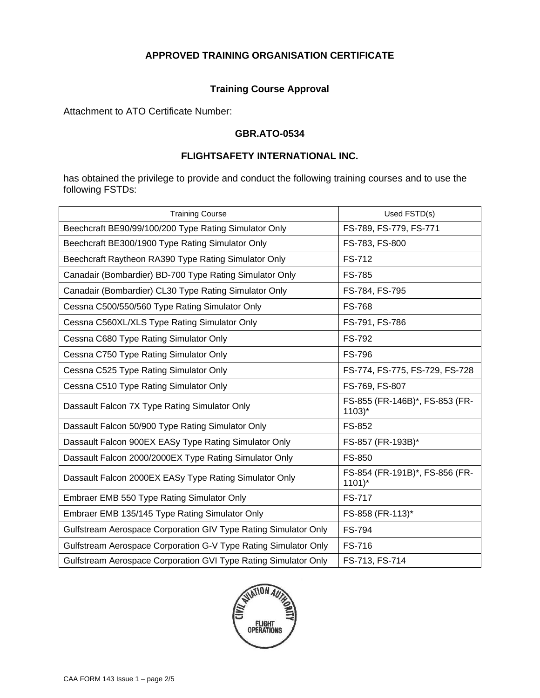# **Training Course Approval**

Attachment to ATO Certificate Number:

#### **GBR.ATO-0534**

# **FLIGHTSAFETY INTERNATIONAL INC.**

has obtained the privilege to provide and conduct the following training courses and to use the following FSTDs:

| <b>Training Course</b>                                          | Used FSTD(s)                                          |  |
|-----------------------------------------------------------------|-------------------------------------------------------|--|
| Beechcraft BE90/99/100/200 Type Rating Simulator Only           | FS-789, FS-779, FS-771                                |  |
| Beechcraft BE300/1900 Type Rating Simulator Only                | FS-783, FS-800                                        |  |
| Beechcraft Raytheon RA390 Type Rating Simulator Only            | FS-712                                                |  |
| Canadair (Bombardier) BD-700 Type Rating Simulator Only         | <b>FS-785</b>                                         |  |
| Canadair (Bombardier) CL30 Type Rating Simulator Only           | FS-784, FS-795                                        |  |
| Cessna C500/550/560 Type Rating Simulator Only                  | <b>FS-768</b>                                         |  |
| Cessna C560XL/XLS Type Rating Simulator Only                    | FS-791, FS-786                                        |  |
| Cessna C680 Type Rating Simulator Only                          | FS-792                                                |  |
| Cessna C750 Type Rating Simulator Only                          | <b>FS-796</b>                                         |  |
| Cessna C525 Type Rating Simulator Only                          | FS-774, FS-775, FS-729, FS-728                        |  |
| Cessna C510 Type Rating Simulator Only                          | FS-769, FS-807                                        |  |
| Dassault Falcon 7X Type Rating Simulator Only                   | FS-855 (FR-146B)*, FS-853 (FR-<br>$1103$ <sup>*</sup> |  |
| Dassault Falcon 50/900 Type Rating Simulator Only               | FS-852                                                |  |
| Dassault Falcon 900EX EASy Type Rating Simulator Only           | FS-857 (FR-193B)*                                     |  |
| Dassault Falcon 2000/2000EX Type Rating Simulator Only          | FS-850                                                |  |
| Dassault Falcon 2000EX EASy Type Rating Simulator Only          | FS-854 (FR-191B)*, FS-856 (FR-<br>$1101$ <sup>*</sup> |  |
| Embraer EMB 550 Type Rating Simulator Only                      | <b>FS-717</b>                                         |  |
| Embraer EMB 135/145 Type Rating Simulator Only                  | FS-858 (FR-113)*                                      |  |
| Gulfstream Aerospace Corporation GIV Type Rating Simulator Only | FS-794                                                |  |
| Gulfstream Aerospace Corporation G-V Type Rating Simulator Only | FS-716                                                |  |
| Gulfstream Aerospace Corporation GVI Type Rating Simulator Only | FS-713, FS-714                                        |  |

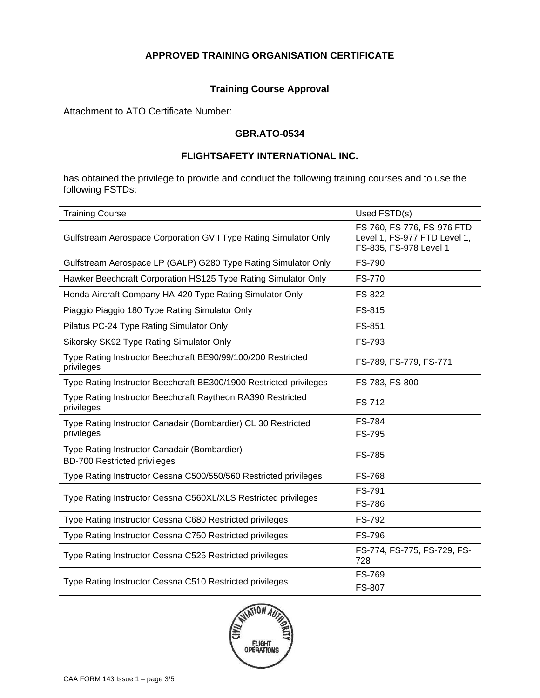# **Training Course Approval**

Attachment to ATO Certificate Number:

#### **GBR.ATO-0534**

#### **FLIGHTSAFETY INTERNATIONAL INC.**

has obtained the privilege to provide and conduct the following training courses and to use the following FSTDs:

| <b>Training Course</b>                                                              | Used FSTD(s)                                                                         |
|-------------------------------------------------------------------------------------|--------------------------------------------------------------------------------------|
| Gulfstream Aerospace Corporation GVII Type Rating Simulator Only                    | FS-760, FS-776, FS-976 FTD<br>Level 1, FS-977 FTD Level 1,<br>FS-835, FS-978 Level 1 |
| Gulfstream Aerospace LP (GALP) G280 Type Rating Simulator Only                      | <b>FS-790</b>                                                                        |
| Hawker Beechcraft Corporation HS125 Type Rating Simulator Only                      | <b>FS-770</b>                                                                        |
| Honda Aircraft Company HA-420 Type Rating Simulator Only                            | FS-822                                                                               |
| Piaggio Piaggio 180 Type Rating Simulator Only                                      | FS-815                                                                               |
| Pilatus PC-24 Type Rating Simulator Only                                            | FS-851                                                                               |
| Sikorsky SK92 Type Rating Simulator Only                                            | FS-793                                                                               |
| Type Rating Instructor Beechcraft BE90/99/100/200 Restricted<br>privileges          | FS-789, FS-779, FS-771                                                               |
| Type Rating Instructor Beechcraft BE300/1900 Restricted privileges                  | FS-783, FS-800                                                                       |
| Type Rating Instructor Beechcraft Raytheon RA390 Restricted<br>privileges           | FS-712                                                                               |
| Type Rating Instructor Canadair (Bombardier) CL 30 Restricted<br>privileges         | <b>FS-784</b><br><b>FS-795</b>                                                       |
| Type Rating Instructor Canadair (Bombardier)<br><b>BD-700 Restricted privileges</b> | <b>FS-785</b>                                                                        |
| Type Rating Instructor Cessna C500/550/560 Restricted privileges                    | <b>FS-768</b>                                                                        |
| Type Rating Instructor Cessna C560XL/XLS Restricted privileges                      | <b>FS-791</b><br><b>FS-786</b>                                                       |
| Type Rating Instructor Cessna C680 Restricted privileges                            | FS-792                                                                               |
| Type Rating Instructor Cessna C750 Restricted privileges                            | <b>FS-796</b>                                                                        |
| Type Rating Instructor Cessna C525 Restricted privileges                            | FS-774, FS-775, FS-729, FS-<br>728                                                   |
| Type Rating Instructor Cessna C510 Restricted privileges                            | <b>FS-769</b><br><b>FS-807</b>                                                       |

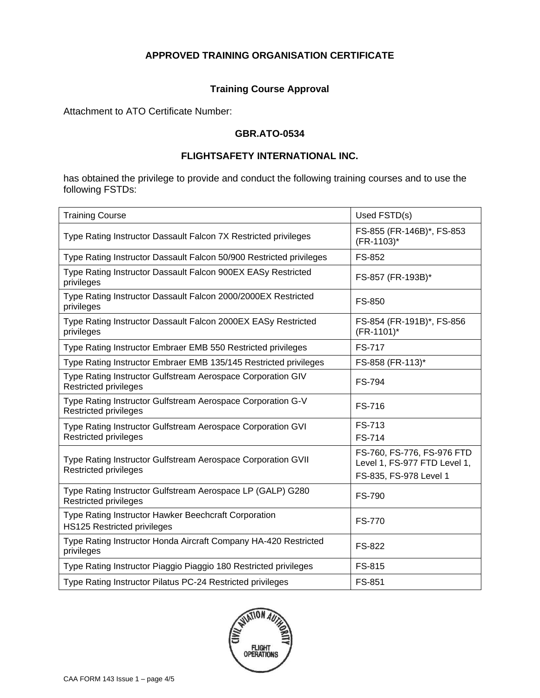# **Training Course Approval**

Attachment to ATO Certificate Number:

#### **GBR.ATO-0534**

#### **FLIGHTSAFETY INTERNATIONAL INC.**

has obtained the privilege to provide and conduct the following training courses and to use the following FSTDs:

| <b>Training Course</b>                                                                       | Used FSTD(s)                                                                         |
|----------------------------------------------------------------------------------------------|--------------------------------------------------------------------------------------|
| Type Rating Instructor Dassault Falcon 7X Restricted privileges                              | FS-855 (FR-146B)*, FS-853<br>(FR-1103)*                                              |
| Type Rating Instructor Dassault Falcon 50/900 Restricted privileges                          | FS-852                                                                               |
| Type Rating Instructor Dassault Falcon 900EX EASy Restricted<br>privileges                   | FS-857 (FR-193B)*                                                                    |
| Type Rating Instructor Dassault Falcon 2000/2000EX Restricted<br>privileges                  | FS-850                                                                               |
| Type Rating Instructor Dassault Falcon 2000EX EASy Restricted<br>privileges                  | FS-854 (FR-191B)*, FS-856<br>(FR-1101)*                                              |
| Type Rating Instructor Embraer EMB 550 Restricted privileges                                 | <b>FS-717</b>                                                                        |
| Type Rating Instructor Embraer EMB 135/145 Restricted privileges                             | FS-858 (FR-113)*                                                                     |
| Type Rating Instructor Gulfstream Aerospace Corporation GIV<br>Restricted privileges         | <b>FS-794</b>                                                                        |
| Type Rating Instructor Gulfstream Aerospace Corporation G-V<br>Restricted privileges         | FS-716                                                                               |
| Type Rating Instructor Gulfstream Aerospace Corporation GVI<br><b>Restricted privileges</b>  | FS-713<br>FS-714                                                                     |
| Type Rating Instructor Gulfstream Aerospace Corporation GVII<br><b>Restricted privileges</b> | FS-760, FS-776, FS-976 FTD<br>Level 1, FS-977 FTD Level 1,<br>FS-835, FS-978 Level 1 |
| Type Rating Instructor Gulfstream Aerospace LP (GALP) G280<br>Restricted privileges          | <b>FS-790</b>                                                                        |
| Type Rating Instructor Hawker Beechcraft Corporation<br><b>HS125 Restricted privileges</b>   | <b>FS-770</b>                                                                        |
| Type Rating Instructor Honda Aircraft Company HA-420 Restricted<br>privileges                | FS-822                                                                               |
| Type Rating Instructor Piaggio Piaggio 180 Restricted privileges                             | FS-815                                                                               |
| Type Rating Instructor Pilatus PC-24 Restricted privileges                                   | <b>FS-851</b>                                                                        |

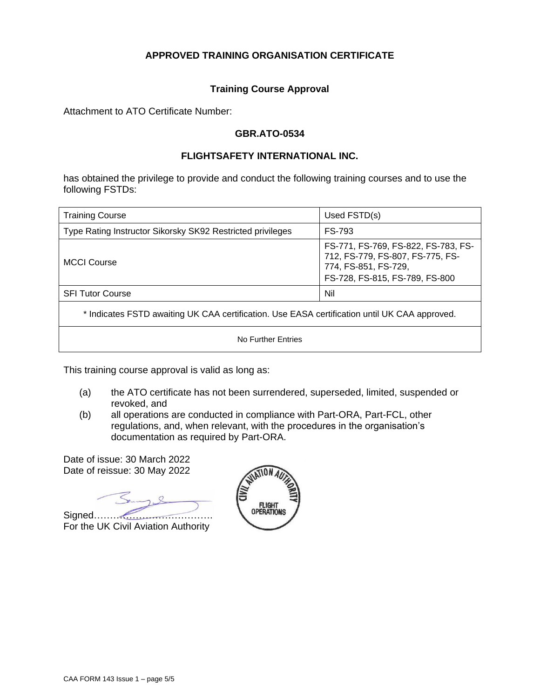#### **Training Course Approval**

Attachment to ATO Certificate Number:

#### **GBR.ATO-0534**

#### **FLIGHTSAFETY INTERNATIONAL INC.**

has obtained the privilege to provide and conduct the following training courses and to use the following FSTDs:

| <b>Training Course</b>                                                                        | Used FSTD(s)                                                                                                                      |  |
|-----------------------------------------------------------------------------------------------|-----------------------------------------------------------------------------------------------------------------------------------|--|
| Type Rating Instructor Sikorsky SK92 Restricted privileges                                    | FS-793                                                                                                                            |  |
| <b>MCCI Course</b>                                                                            | FS-771, FS-769, FS-822, FS-783, FS-<br>712, FS-779, FS-807, FS-775, FS-<br>774, FS-851, FS-729,<br>FS-728, FS-815, FS-789, FS-800 |  |
| <b>SFI Tutor Course</b>                                                                       | Nil                                                                                                                               |  |
| * Indicates FSTD awaiting UK CAA certification. Use EASA certification until UK CAA approved. |                                                                                                                                   |  |
| No Further Entries                                                                            |                                                                                                                                   |  |

This training course approval is valid as long as:

- (a) the ATO certificate has not been surrendered, superseded, limited, suspended or revoked, and
- (b) all operations are conducted in compliance with Part-ORA, Part-FCL, other regulations, and, when relevant, with the procedures in the organisation's documentation as required by Part-ORA.

Date of issue: 30 March 2022 Date of reissue: 30 May 2022

Signed………………………………. For the UK Civil Aviation Authority

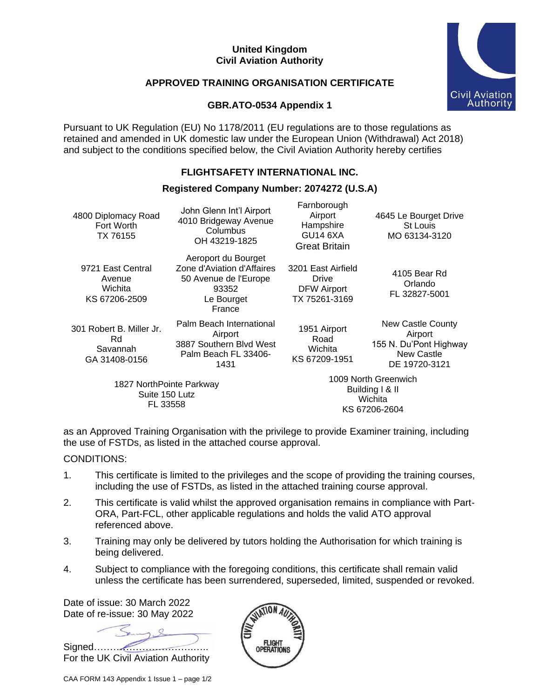#### **United Kingdom Civil Aviation Authority**

# **APPROVED TRAINING ORGANISATION CERTIFICATE**



# **GBR.ATO-0534 Appendix 1**

Pursuant to UK Regulation (EU) No 1178/2011 (EU regulations are to those regulations as retained and amended in UK domestic law under the European Union (Withdrawal) Act 2018) and subject to the conditions specified below, the Civil Aviation Authority hereby certifies

# **FLIGHTSAFETY INTERNATIONAL INC.**

# **Registered Company Number: 2074272 (U.S.A)**

| 4800 Diplomacy Road<br>Fort Worth<br>TX 76155                | John Glenn Int'l Airport<br>4010 Bridgeway Avenue<br>Columbus<br>OH 43219-1825                              | Farnborough<br>Airport<br>Hampshire<br><b>GU14 6XA</b><br><b>Great Britain</b> | 4645 Le Bourget Drive<br>St Louis<br>MO 63134-3120                                                  |
|--------------------------------------------------------------|-------------------------------------------------------------------------------------------------------------|--------------------------------------------------------------------------------|-----------------------------------------------------------------------------------------------------|
| 9721 East Central<br>Avenue<br>Wichita<br>KS 67206-2509      | Aeroport du Bourget<br>Zone d'Aviation d'Affaires<br>50 Avenue de l'Europe<br>93352<br>Le Bourget<br>France | 3201 East Airfield<br>Drive<br>DFW Airport<br>TX 75261-3169                    | 4105 Bear Rd<br>Orlando<br>FL 32827-5001                                                            |
| 301 Robert B. Miller Jr.<br>Rd.<br>Savannah<br>GA 31408-0156 | Palm Beach International<br>Airport<br>3887 Southern Blvd West<br>Palm Beach FL 33406-<br>1431              | 1951 Airport<br>Road<br>Wichita<br>KS 67209-1951                               | <b>New Castle County</b><br>Airport<br>155 N. Du'Pont Highway<br><b>New Castle</b><br>DE 19720-3121 |
| 1827 NorthPointe Parkway<br>Suite 150 Lutz                   |                                                                                                             |                                                                                | 1009 North Greenwich<br>Building I & II<br><b>Wichita</b>                                           |

FL 33558

Wichita KS 67206-2604

as an Approved Training Organisation with the privilege to provide Examiner training, including the use of FSTDs, as listed in the attached course approval.

# CONDITIONS:

- 1. This certificate is limited to the privileges and the scope of providing the training courses, including the use of FSTDs, as listed in the attached training course approval.
- 2. This certificate is valid whilst the approved organisation remains in compliance with Part-ORA, Part-FCL, other applicable regulations and holds the valid ATO approval referenced above.
- 3. Training may only be delivered by tutors holding the Authorisation for which training is being delivered.
- 4. Subject to compliance with the foregoing conditions, this certificate shall remain valid unless the certificate has been surrendered, superseded, limited, suspended or revoked.

Date of issue: 30 March 2022 Date of re-issue: 30 May 2022

Signed………………………….…..

For the UK Civil Aviation Authority